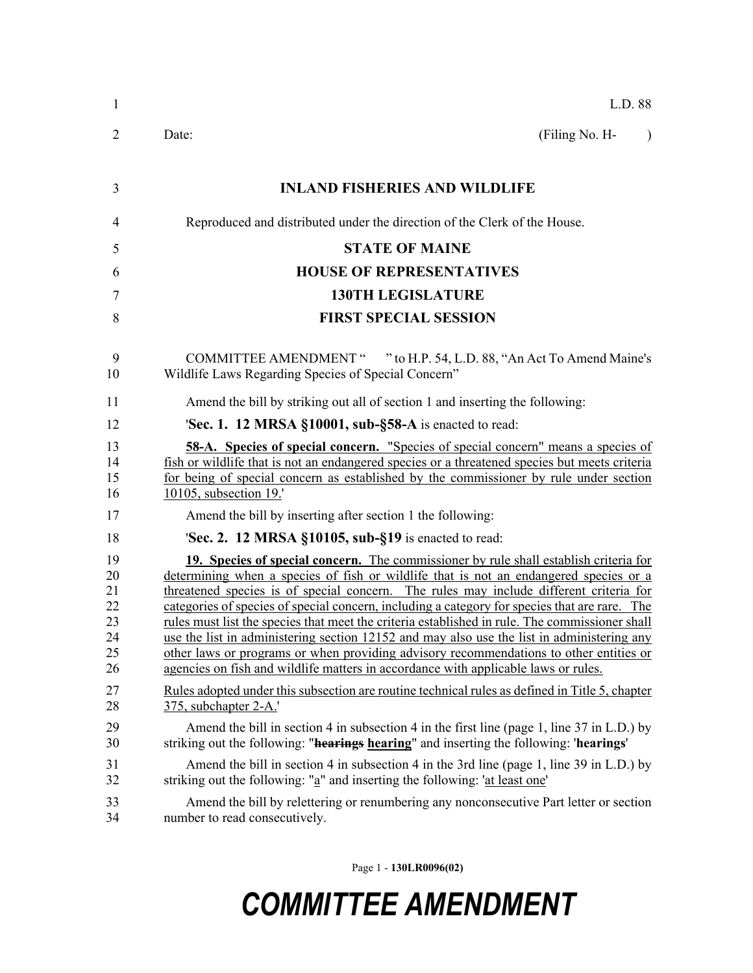| 1                                            | L.D. 88                                                                                                                                                                                                                                                                                                                                                                                                                                                                                                                                                                                                                                                                                                                                                   |
|----------------------------------------------|-----------------------------------------------------------------------------------------------------------------------------------------------------------------------------------------------------------------------------------------------------------------------------------------------------------------------------------------------------------------------------------------------------------------------------------------------------------------------------------------------------------------------------------------------------------------------------------------------------------------------------------------------------------------------------------------------------------------------------------------------------------|
| 2                                            | (Filing No. H-<br>Date:<br>$\lambda$                                                                                                                                                                                                                                                                                                                                                                                                                                                                                                                                                                                                                                                                                                                      |
| 3                                            | <b>INLAND FISHERIES AND WILDLIFE</b>                                                                                                                                                                                                                                                                                                                                                                                                                                                                                                                                                                                                                                                                                                                      |
| 4                                            | Reproduced and distributed under the direction of the Clerk of the House.                                                                                                                                                                                                                                                                                                                                                                                                                                                                                                                                                                                                                                                                                 |
| 5                                            | <b>STATE OF MAINE</b>                                                                                                                                                                                                                                                                                                                                                                                                                                                                                                                                                                                                                                                                                                                                     |
| 6                                            | <b>HOUSE OF REPRESENTATIVES</b>                                                                                                                                                                                                                                                                                                                                                                                                                                                                                                                                                                                                                                                                                                                           |
| 7                                            | <b>130TH LEGISLATURE</b>                                                                                                                                                                                                                                                                                                                                                                                                                                                                                                                                                                                                                                                                                                                                  |
| 8                                            | <b>FIRST SPECIAL SESSION</b>                                                                                                                                                                                                                                                                                                                                                                                                                                                                                                                                                                                                                                                                                                                              |
| 9<br>10                                      | COMMITTEE AMENDMENT " " to H.P. 54, L.D. 88, "An Act To Amend Maine's<br>Wildlife Laws Regarding Species of Special Concern"                                                                                                                                                                                                                                                                                                                                                                                                                                                                                                                                                                                                                              |
| 11                                           | Amend the bill by striking out all of section 1 and inserting the following:                                                                                                                                                                                                                                                                                                                                                                                                                                                                                                                                                                                                                                                                              |
| 12                                           | 'Sec. 1. 12 MRSA $$10001$ , sub- $$58-A$ is enacted to read:                                                                                                                                                                                                                                                                                                                                                                                                                                                                                                                                                                                                                                                                                              |
| 13<br>14<br>15<br>16                         | <b>58-A.</b> Species of special concern. "Species of special concern" means a species of<br>fish or wildlife that is not an endangered species or a threatened species but meets criteria<br>for being of special concern as established by the commissioner by rule under section<br>10105, subsection 19.                                                                                                                                                                                                                                                                                                                                                                                                                                               |
| 17                                           | Amend the bill by inserting after section 1 the following:                                                                                                                                                                                                                                                                                                                                                                                                                                                                                                                                                                                                                                                                                                |
| 18                                           | <b>Sec. 2. 12 MRSA §10105, sub-§19</b> is enacted to read:                                                                                                                                                                                                                                                                                                                                                                                                                                                                                                                                                                                                                                                                                                |
| 19<br>20<br>21<br>22<br>23<br>24<br>25<br>26 | 19. Species of special concern. The commissioner by rule shall establish criteria for<br>determining when a species of fish or wildlife that is not an endangered species or a<br>threatened species is of special concern. The rules may include different criteria for<br>categories of species of special concern, including a category for species that are rare. The<br>rules must list the species that meet the criteria established in rule. The commissioner shall<br>use the list in administering section 12152 and may also use the list in administering any<br>other laws or programs or when providing advisory recommendations to other entities or<br>agencies on fish and wildlife matters in accordance with applicable laws or rules. |
| 27<br>28                                     | Rules adopted under this subsection are routine technical rules as defined in Title 5, chapter<br>375, subchapter 2-A.'                                                                                                                                                                                                                                                                                                                                                                                                                                                                                                                                                                                                                                   |
| 29<br>30                                     | Amend the bill in section 4 in subsection 4 in the first line (page 1, line 37 in L.D.) by<br>striking out the following: " <b>hearings</b> hearing" and inserting the following: 'hearings'                                                                                                                                                                                                                                                                                                                                                                                                                                                                                                                                                              |
| 31<br>32                                     | Amend the bill in section 4 in subsection 4 in the 3rd line (page 1, line 39 in L.D.) by<br>striking out the following: "a" and inserting the following: 'at least one'                                                                                                                                                                                                                                                                                                                                                                                                                                                                                                                                                                                   |
| 33<br>34                                     | Amend the bill by relettering or renumbering any nonconsecutive Part letter or section<br>number to read consecutively.                                                                                                                                                                                                                                                                                                                                                                                                                                                                                                                                                                                                                                   |

Page 1 - **130LR0096(02)**

## *COMMITTEE AMENDMENT*